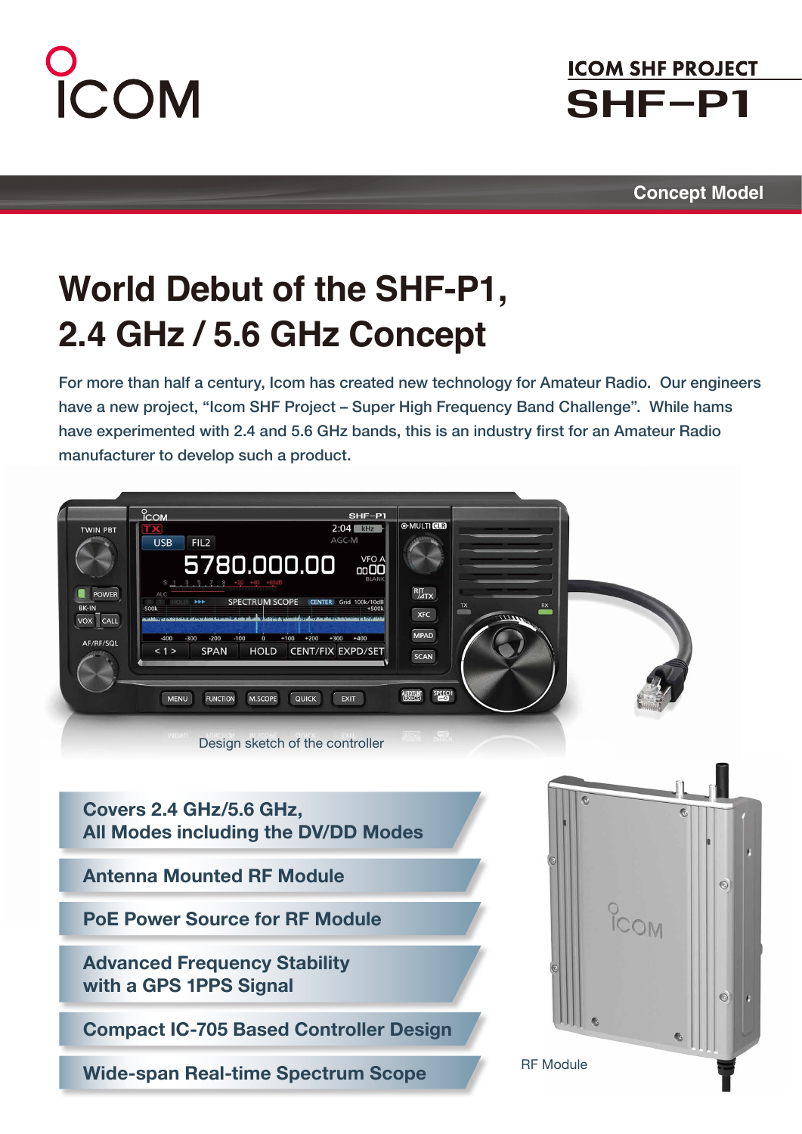# COM

## **ICOM SHF PROJECT** SHF-P1

**Concept Model**

# **World Debut of the SHF-P1, 2.4 GHz / 5.6 GHz Concept**

For more than half a century, Icom has created new technology for Amateur Radio. Our engineers have a new project, "Icom SHF Project – Super High Frequency Band Challenge". While hams have experimented with 2.4 and 5.6 GHz bands, this is an industry first for an Amateur Radio manufacturer to develop such a product.



**Covers 2.4 GHz/5.6 GHz, All Modes including the DV/DD Modes**

**Antenna Mounted RF Module**

**PoE Power Source for RF Module**

**Advanced Frequency Stability with a GPS 1PPS Signal** 

**Compact IC-705 Based Controller Design** 

**Wide-span Real-time Spectrum Scope**